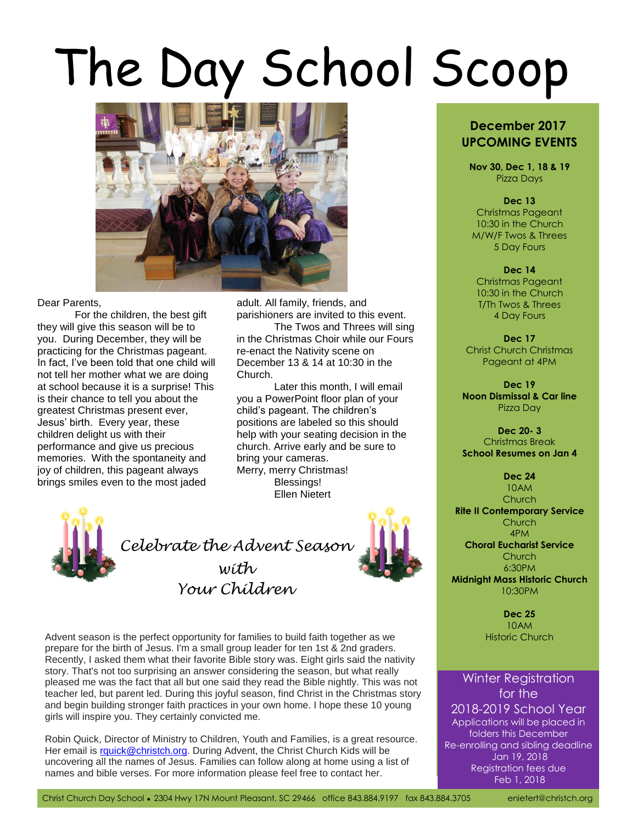# The Day School Scoop



#### Dear Parents,

For the children, the best gift they will give this season will be to you. During December, they will be practicing for the Christmas pageant. In fact, I've been told that one child will not tell her mother what we are doing at school because it is a surprise! This is their chance to tell you about the greatest Christmas present ever, Jesus' birth. Every year, these children delight us with their performance and give us precious memories. With the spontaneity and joy of children, this pageant always brings smiles even to the most jaded

adult. All family, friends, and parishioners are invited to this event.

The Twos and Threes will sing in the Christmas Choir while our Fours re-enact the Nativity scene on December 13 & 14 at 10:30 in the Church.

Later this month, I will email you a PowerPoint floor plan of your child's pageant. The children's positions are labeled so this should help with your seating decision in the church. Arrive early and be sure to bring your cameras. Merry, merry Christmas! Blessings! Ellen Nietert



*Celebrate the Advent Season with Your Children*



Advent season is the perfect opportunity for families to build faith together as we Historic Church prepare for the birth of Jesus. I'm a small group leader for ten 1st & 2nd graders. Recently, I asked them what their favorite Bible story was. Eight girls said the nativity story. That's not too surprising an answer considering the season, but what really pleased me was the fact that all but one said they read the Bible nightly. This was not teacher led, but parent led. During this joyful season, find Christ in the Christmas story and begin building stronger faith practices in your own home. I hope these 10 young girls will inspire you. They certainly convicted me.

Robin Quick, Director of Ministry to Children, Youth and Families, is a great resource. Her email is [rquick@christch.org.](mailto:rquick@christch.org) During Advent, the Christ Church Kids will be uncovering all the names of Jesus. Families can follow along at home using a list of names and bible verses. For more information please feel free to contact her.

# **December 2017 UPCOMING EVENTS**

**Nov 30, Dec 1, 18 & 19** Pizza Days

#### **Dec 13**

Christmas Pageant 10:30 in the Church M/W/F Twos & Threes 5 Day Fours

#### **Dec 14**

Christmas Pageant 10:30 in the Church T/Th Twos & Threes 4 Day Fours

**Dec 17** Christ Church Christmas Pageant at 4PM

**Dec 19 Noon Dismissal & Car line** Pizza Day

**Dec 20- 3** Christmas Break **School Resumes on Jan 4**

> **Dec 24** 10AM

**Church Rite II Contemporary Service**

> **Church** 4PM

**Choral Eucharist Service** Church

6:30PM

**Midnight Mass Historic Church** 10:30PM

> **Dec 25** 10AM

## Winter Registration for the

2018-2019 School Year Applications will be placed in folders this December Re-enrolling and sibling deadline Jan 19, 2018 Registration fees due Feb 1, 2018